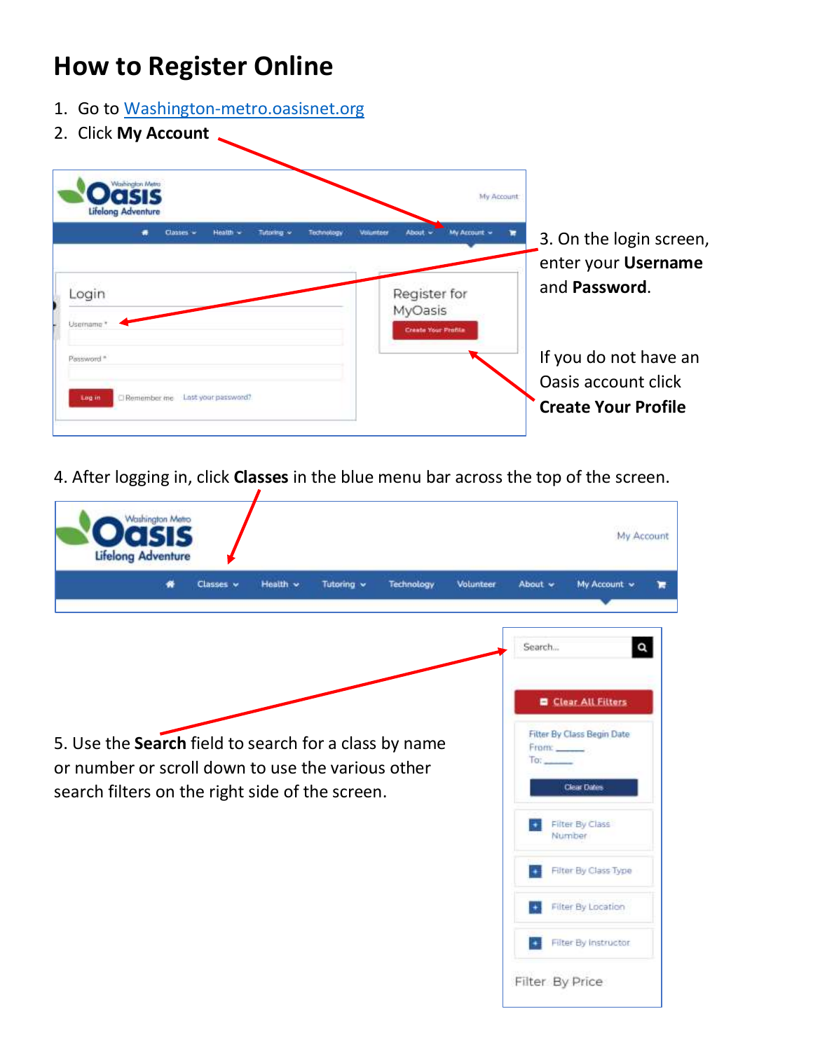## **How to Register Online**

- 1. Go to [Washington-metro.oasisnet.org](https://washington-metro.oasisnet.org/)
- 2. Click **My Account**



4. After logging in, click **Classes** in the blue menu bar across the top of the screen.

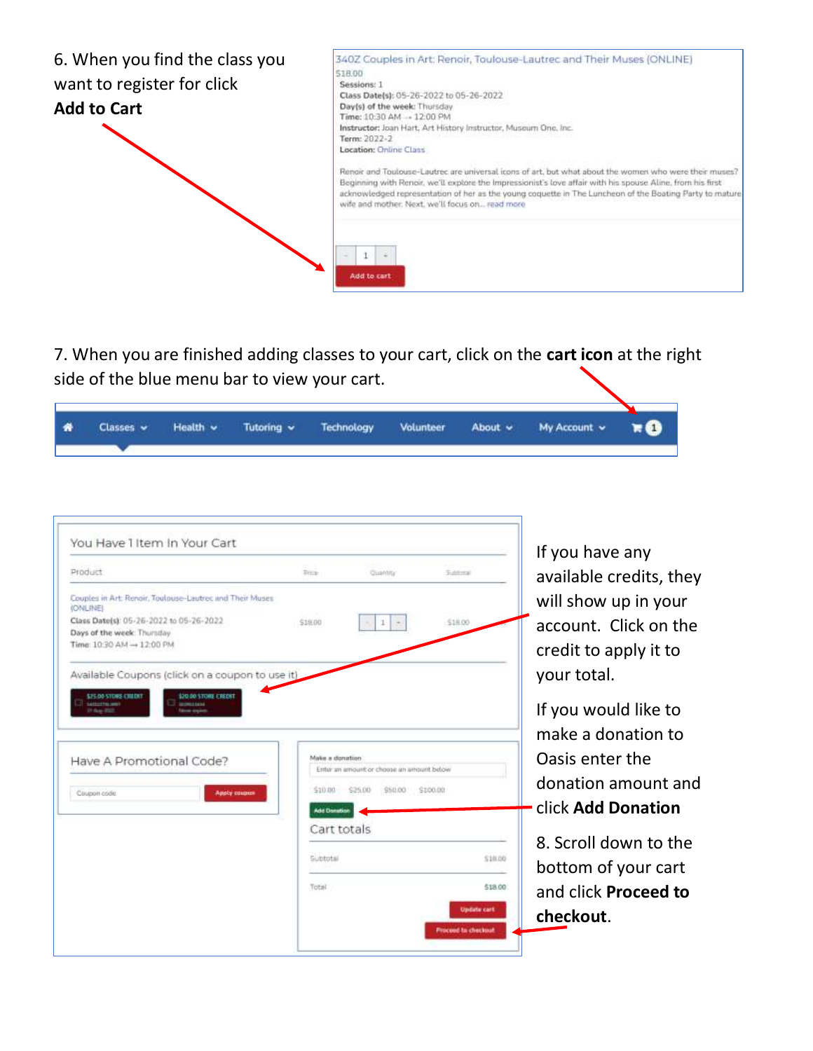

7. When you are finished adding classes to your cart, click on the **cart icon** at the right side of the blue menu bar to view your cart.

| 香 |  |  |  | Classes v Health v Tutoring v Technology Volunteer About v My Account v RO |  |
|---|--|--|--|----------------------------------------------------------------------------|--|
|   |  |  |  |                                                                            |  |

| Product.                                                                                                                                                                                                                              | Bisco                                             | <b>Cushtity</b>                                                        | Sutness                                          | available credits, they                                                                                       |
|---------------------------------------------------------------------------------------------------------------------------------------------------------------------------------------------------------------------------------------|---------------------------------------------------|------------------------------------------------------------------------|--------------------------------------------------|---------------------------------------------------------------------------------------------------------------|
| Couples in Art: Renoir, Toulouse-Lautrec and Their Muses.<br><b>(ONLINE)</b><br>Class Date(s): 05-26-2022 to 05-26-2022<br>Days of the week: Thursday<br>Time: 10:30 AM → 12:00 PM<br>Available Coupons (click on a coupon to use it) | \$18.00                                           | ŀ                                                                      | \$18.00                                          | will show up in your<br>account. Click on the<br>credit to apply it to<br>your total.                         |
| \$25.00-STORE CHEDIT<br>DO DO STORE E REDIT<br><b>SAFEEFTELING</b><br><b>CHARLES</b><br>Have A Promotional Code?<br>Apply couper<br>Coupon code                                                                                       | Make a donation<br>\$10.00<br><b>Add Donation</b> | Enter an amount or choose an amount below<br>950.00 9100.00<br>\$25.00 |                                                  | If you would like to<br>make a donation to<br>Oasis enter the<br>donation amount and<br>click Add Donation    |
|                                                                                                                                                                                                                                       | Cart totals<br><b>Subbotal</b><br>Total           |                                                                        | <b>Update cart</b><br><b>Frocend to checkout</b> | 8. Scroll down to the<br>518.00<br>bottom of your cart<br>\$18.00<br>and click <b>Proceed to</b><br>checkout. |